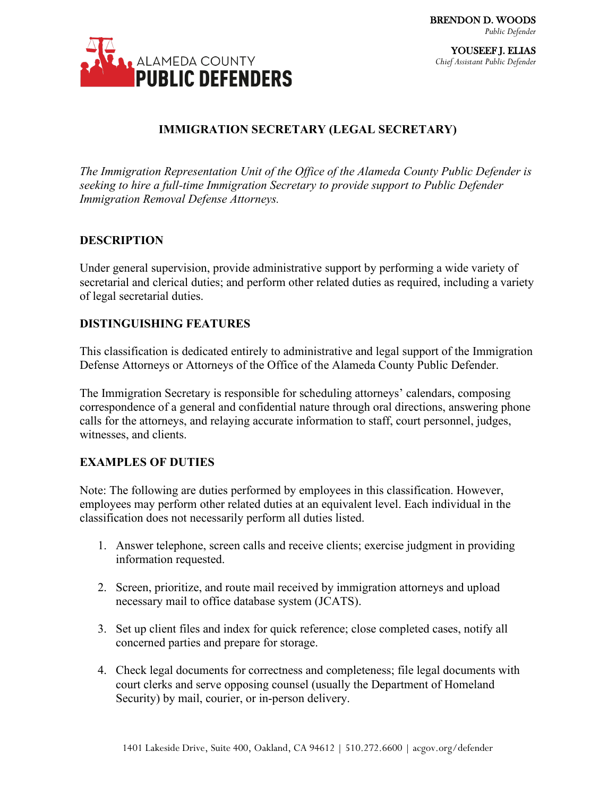

# **IMMIGRATION SECRETARY (LEGAL SECRETARY)**

*The Immigration Representation Unit of the Office of the Alameda County Public Defender is seeking to hire a full-time Immigration Secretary to provide support to Public Defender Immigration Removal Defense Attorneys.* 

### **DESCRIPTION**

Under general supervision, provide administrative support by performing a wide variety of secretarial and clerical duties; and perform other related duties as required, including a variety of legal secretarial duties.

## **DISTINGUISHING FEATURES**

This classification is dedicated entirely to administrative and legal support of the Immigration Defense Attorneys or Attorneys of the Office of the Alameda County Public Defender.

The Immigration Secretary is responsible for scheduling attorneys' calendars, composing correspondence of a general and confidential nature through oral directions, answering phone calls for the attorneys, and relaying accurate information to staff, court personnel, judges, witnesses, and clients.

## **EXAMPLES OF DUTIES**

Note: The following are duties performed by employees in this classification. However, employees may perform other related duties at an equivalent level. Each individual in the classification does not necessarily perform all duties listed.

- 1. Answer telephone, screen calls and receive clients; exercise judgment in providing information requested.
- 2. Screen, prioritize, and route mail received by immigration attorneys and upload necessary mail to office database system (JCATS).
- 3. Set up client files and index for quick reference; close completed cases, notify all concerned parties and prepare for storage.
- 4. Check legal documents for correctness and completeness; file legal documents with court clerks and serve opposing counsel (usually the Department of Homeland Security) by mail, courier, or in-person delivery.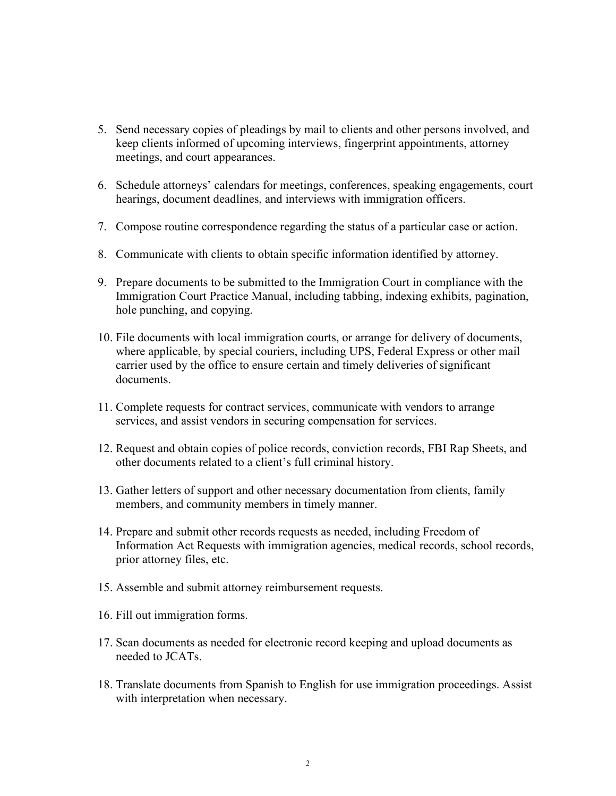- 5. Send necessary copies of pleadings by mail to clients and other persons involved, and keep clients informed of upcoming interviews, fingerprint appointments, attorney meetings, and court appearances.
- 6. Schedule attorneys' calendars for meetings, conferences, speaking engagements, court hearings, document deadlines, and interviews with immigration officers.
- 7. Compose routine correspondence regarding the status of a particular case or action.
- 8. Communicate with clients to obtain specific information identified by attorney.
- 9. Prepare documents to be submitted to the Immigration Court in compliance with the Immigration Court Practice Manual, including tabbing, indexing exhibits, pagination, hole punching, and copying.
- 10. File documents with local immigration courts, or arrange for delivery of documents, where applicable, by special couriers, including UPS, Federal Express or other mail carrier used by the office to ensure certain and timely deliveries of significant documents.
- 11. Complete requests for contract services, communicate with vendors to arrange services, and assist vendors in securing compensation for services.
- 12. Request and obtain copies of police records, conviction records, FBI Rap Sheets, and other documents related to a client's full criminal history.
- 13. Gather letters of support and other necessary documentation from clients, family members, and community members in timely manner.
- 14. Prepare and submit other records requests as needed, including Freedom of Information Act Requests with immigration agencies, medical records, school records, prior attorney files, etc.
- 15. Assemble and submit attorney reimbursement requests.
- 16. Fill out immigration forms.
- 17. Scan documents as needed for electronic record keeping and upload documents as needed to JCATs.
- 18. Translate documents from Spanish to English for use immigration proceedings. Assist with interpretation when necessary.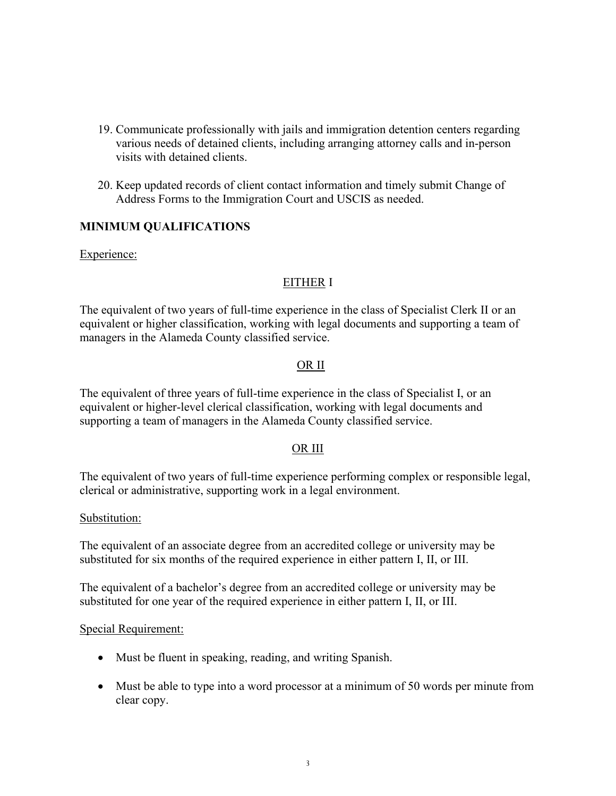- 19. Communicate professionally with jails and immigration detention centers regarding various needs of detained clients, including arranging attorney calls and in-person visits with detained clients.
- 20. Keep updated records of client contact information and timely submit Change of Address Forms to the Immigration Court and USCIS as needed.

## **MINIMUM QUALIFICATIONS**

Experience:

### EITHER I

The equivalent of two years of full-time experience in the class of Specialist Clerk II or an equivalent or higher classification, working with legal documents and supporting a team of managers in the Alameda County classified service.

### OR II

The equivalent of three years of full-time experience in the class of Specialist I, or an equivalent or higher-level clerical classification, working with legal documents and supporting a team of managers in the Alameda County classified service.

#### OR III

The equivalent of two years of full-time experience performing complex or responsible legal, clerical or administrative, supporting work in a legal environment.

#### Substitution:

The equivalent of an associate degree from an accredited college or university may be substituted for six months of the required experience in either pattern I, II, or III.

The equivalent of a bachelor's degree from an accredited college or university may be substituted for one year of the required experience in either pattern I, II, or III.

#### Special Requirement:

- Must be fluent in speaking, reading, and writing Spanish.
- Must be able to type into a word processor at a minimum of 50 words per minute from clear copy.